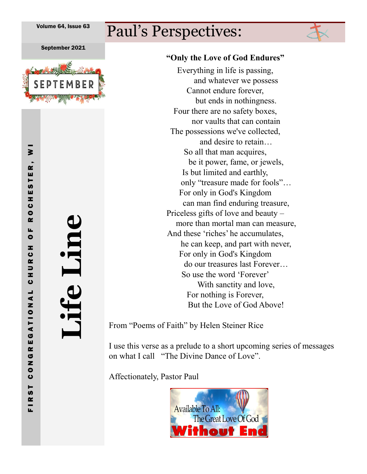# Paul's Perspectives:

September 2021



FIRST CONGREGATIONAL

 $\geq$ 

ESTER

z ပ  $\bullet$ œ u.  $\bullet$ Ŧ. ပ<br>R  $\overline{\phantom{0}}$ z,  $\bullet$ 

**Life Line**

### **"Only the Love of God Endures"**

Everything in life is passing, and whatever we possess Cannot endure forever, but ends in nothingness. Four there are no safety boxes, nor vaults that can contain The possessions we've collected, and desire to retain… So all that man acquires, be it power, fame, or jewels, Is but limited and earthly, only "treasure made for fools"… For only in God's Kingdom can man find enduring treasure, Priceless gifts of love and beauty – more than mortal man can measure, And these 'riches' he accumulates, he can keep, and part with never, For only in God's Kingdom do our treasures last Forever… So use the word 'Forever' With sanctity and love, For nothing is Forever, But the Love of God Above!

From "Poems of Faith" by Helen Steiner Rice

I use this verse as a prelude to a short upcoming series of messages on what I call "The Divine Dance of Love".

Affectionately, Pastor Paul

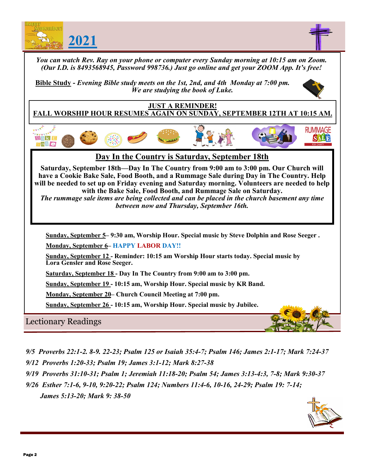

- *9/5 Proverbs 22:1-2. 8-9. 22-23; Psalm 125 or Isaiah 35:4-7; Psalm 146; James 2:1-17; Mark 7:24-37*
- *9/12 Proverbs 1:20-33; Psalm 19; James 3:1-12; Mark 8:27-38*
- *9/19 Proverbs 31:10-31; Psalm 1; Jeremiah 11:18-20; Psalm 54; James 3:13-4:3, 7-8; Mark 9:30-37*
- *9/26 Esther 7:1-6, 9-10, 9:20-22; Psalm 124; Numbers 11:4-6, 10-16, 24-29; Psalm 19: 7-14; James 5:13-20; Mark 9: 38-50*

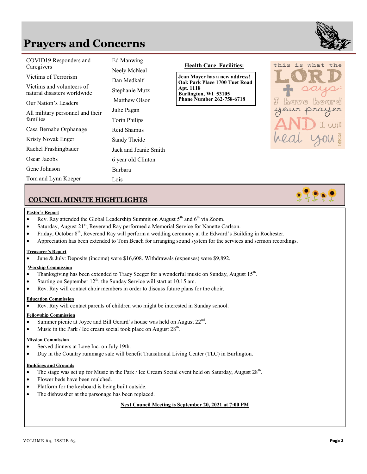## **Prayers and Concerns**



is what the

 $\Box$ 

| COVID19 Responders and<br>Caregivers                | Ed Manwing<br>Neely McNeal          | <b>Health Care Facilities:</b>                                              | this |
|-----------------------------------------------------|-------------------------------------|-----------------------------------------------------------------------------|------|
| Victims of Terrorism<br>Victims and volunteers of   | Dan Medkalf                         | Jean Moyer has a new address!<br>Oak Park Place 1700 Tuet Road<br>Apt. 1118 |      |
| natural disasters worldwide<br>Our Nation's Leaders | Stephanie Mutz<br>Matthew Olson     | Burlington, WI 53105<br><b>Phone Number 262-758-6718</b>                    |      |
| All military personnel and their<br>families        | Julie Pagan<br><b>Torin Philips</b> |                                                                             |      |
| Casa Bernabe Orphanage                              | Reid Shamus                         |                                                                             |      |
| Kristy Novak Enger                                  | Sandy Theide                        |                                                                             |      |
| Rachel Frashingbauer                                | Jack and Jeanie Smith               |                                                                             |      |
| Oscar Jacobs                                        | 6 year old Clinton                  |                                                                             |      |
| Gene Johnson                                        | <b>Barbara</b>                      |                                                                             |      |
| Tom and Lynn Koeper                                 | Lois                                |                                                                             |      |

### **COUNCIL MINUTE HIGHTLIGHTS**

#### **Pastor's Report**

- Rev. Ray attended the Global Leadership Summit on August  $5<sup>th</sup>$  and  $6<sup>th</sup>$  via Zoom.
- Saturday, August  $21<sup>st</sup>$ , Reverend Ray performed a Memorial Service for Nanette Carlson.
- Friday, October  $8<sup>th</sup>$ , Reverend Ray will perform a wedding ceremony at the Edward's Building in Rochester.
- Appreciation has been extended to Tom Beach for arranging sound system for the services and sermon recordings.

#### **Treasurer's Report**

• June & July: Deposits (income) were \$16,608. Withdrawals (expenses) were \$9,892.

#### **Worship Commission**

- Thanksgiving has been extended to Tracy Seeger for a wonderful music on Sunday, August  $15<sup>th</sup>$ .
- Starting on September  $12<sup>th</sup>$ , the Sunday Service will start at 10.15 am.
- Rev. Ray will contact choir members in order to discuss future plans for the choir.

#### **Education Commission**

• Rev. Ray will contact parents of children who might be interested in Sunday school.

#### **Fellowship Commission**

- Summer picnic at Joyce and Bill Gerard's house was held on August 22<sup>nd</sup>.
- Music in the Park / Ice cream social took place on August  $28<sup>th</sup>$ .

#### **Mission Commission**

- Served dinners at Love Inc. on July 19th.
- Day in the Country rummage sale will benefit Transitional Living Center (TLC) in Burlington.

#### **Buildings and Grounds**

- The stage was set up for Music in the Park / Ice Cream Social event held on Saturday, August  $28<sup>th</sup>$ .
- Flower beds have been mulched.
- Platform for the keyboard is being built outside.
- The dishwasher at the parsonage has been replaced.

**Next Council Meeting is September 20, 2021 at 7:00 PM**